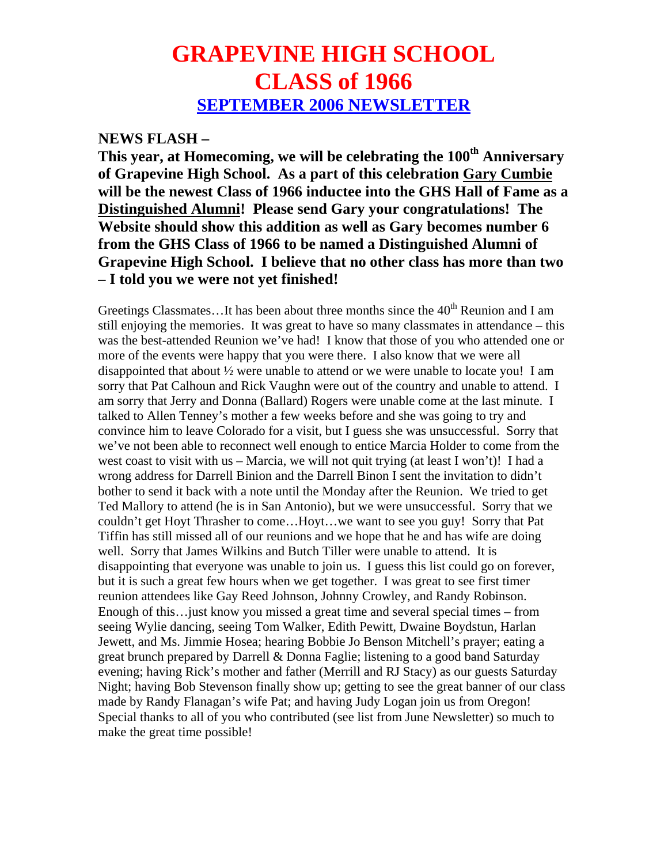## **GRAPEVINE HIGH SCHOOL CLASS of 1966 SEPTEMBER 2006 NEWSLETTER**

## **NEWS FLASH –**

This year, at Homecoming, we will be celebrating the 100<sup>th</sup> Anniversary **of Grapevine High School. As a part of this celebration Gary Cumbie will be the newest Class of 1966 inductee into the GHS Hall of Fame as a Distinguished Alumni! Please send Gary your congratulations! The Website should show this addition as well as Gary becomes number 6 from the GHS Class of 1966 to be named a Distinguished Alumni of Grapevine High School. I believe that no other class has more than two – I told you we were not yet finished!** 

Greetings Classmates...It has been about three months since the 40<sup>th</sup> Reunion and I am still enjoying the memories. It was great to have so many classmates in attendance – this was the best-attended Reunion we've had! I know that those of you who attended one or more of the events were happy that you were there. I also know that we were all disappointed that about ½ were unable to attend or we were unable to locate you! I am sorry that Pat Calhoun and Rick Vaughn were out of the country and unable to attend. I am sorry that Jerry and Donna (Ballard) Rogers were unable come at the last minute. I talked to Allen Tenney's mother a few weeks before and she was going to try and convince him to leave Colorado for a visit, but I guess she was unsuccessful. Sorry that we've not been able to reconnect well enough to entice Marcia Holder to come from the west coast to visit with us – Marcia, we will not quit trying (at least I won't)! I had a wrong address for Darrell Binion and the Darrell Binon I sent the invitation to didn't bother to send it back with a note until the Monday after the Reunion. We tried to get Ted Mallory to attend (he is in San Antonio), but we were unsuccessful. Sorry that we couldn't get Hoyt Thrasher to come…Hoyt…we want to see you guy! Sorry that Pat Tiffin has still missed all of our reunions and we hope that he and has wife are doing well. Sorry that James Wilkins and Butch Tiller were unable to attend. It is disappointing that everyone was unable to join us. I guess this list could go on forever, but it is such a great few hours when we get together. I was great to see first timer reunion attendees like Gay Reed Johnson, Johnny Crowley, and Randy Robinson. Enough of this…just know you missed a great time and several special times – from seeing Wylie dancing, seeing Tom Walker, Edith Pewitt, Dwaine Boydstun, Harlan Jewett, and Ms. Jimmie Hosea; hearing Bobbie Jo Benson Mitchell's prayer; eating a great brunch prepared by Darrell & Donna Faglie; listening to a good band Saturday evening; having Rick's mother and father (Merrill and RJ Stacy) as our guests Saturday Night; having Bob Stevenson finally show up; getting to see the great banner of our class made by Randy Flanagan's wife Pat; and having Judy Logan join us from Oregon! Special thanks to all of you who contributed (see list from June Newsletter) so much to make the great time possible!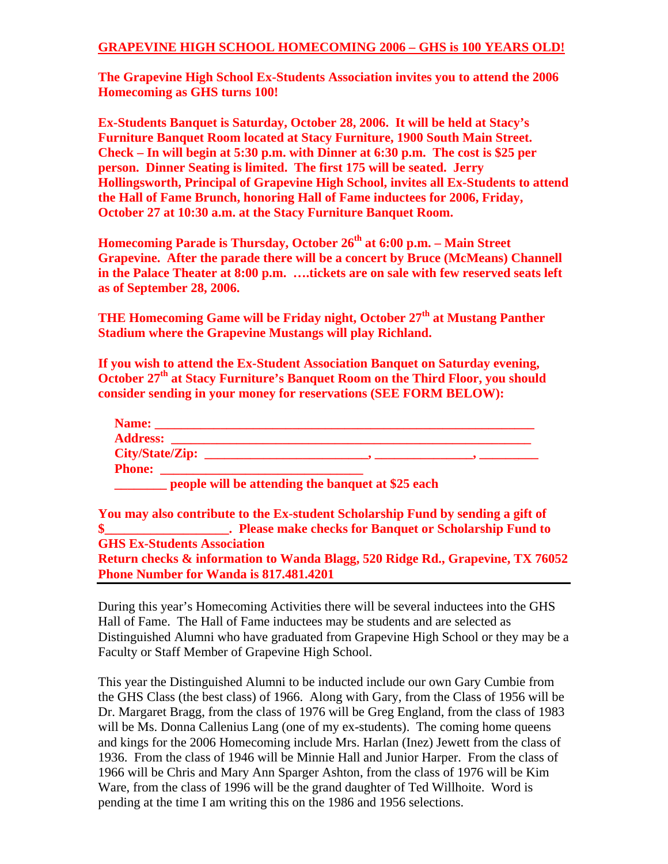## **GRAPEVINE HIGH SCHOOL HOMECOMING 2006 – GHS is 100 YEARS OLD!**

**The Grapevine High School Ex-Students Association invites you to attend the 2006 Homecoming as GHS turns 100!** 

**Ex-Students Banquet is Saturday, October 28, 2006. It will be held at Stacy's Furniture Banquet Room located at Stacy Furniture, 1900 South Main Street. Check – In will begin at 5:30 p.m. with Dinner at 6:30 p.m. The cost is \$25 per person. Dinner Seating is limited. The first 175 will be seated. Jerry Hollingsworth, Principal of Grapevine High School, invites all Ex-Students to attend the Hall of Fame Brunch, honoring Hall of Fame inductees for 2006, Friday, October 27 at 10:30 a.m. at the Stacy Furniture Banquet Room.** 

**Homecoming Parade is Thursday, October 26<sup>th</sup> at 6:00 p.m. – Main Street Grapevine. After the parade there will be a concert by Bruce (McMeans) Channell in the Palace Theater at 8:00 p.m. ….tickets are on sale with few reserved seats left as of September 28, 2006.** 

**THE Homecoming Game will be Friday night, October 27<sup>th</sup> at Mustang Panther Stadium where the Grapevine Mustangs will play Richland.** 

**If you wish to attend the Ex-Student Association Banquet on Saturday evening, October 27<sup>th</sup> at Stacy Furniture's Banquet Room on the Third Floor, you should consider sending in your money for reservations (SEE FORM BELOW):** 

| Name:           |  |
|-----------------|--|
| <b>Address:</b> |  |
| City/State/Zip: |  |
| <b>Phone:</b>   |  |

**people will be attending the banquet at \$25 each** 

**You may also contribute to the Ex-student Scholarship Fund by sending a gift of \$\_\_\_\_\_\_\_\_\_\_\_\_\_\_\_\_\_\_\_. Please make checks for Banquet or Scholarship Fund to GHS Ex-Students Association Return checks & information to Wanda Blagg, 520 Ridge Rd., Grapevine, TX 76052 Phone Number for Wanda is 817.481.4201** 

During this year's Homecoming Activities there will be several inductees into the GHS Hall of Fame. The Hall of Fame inductees may be students and are selected as Distinguished Alumni who have graduated from Grapevine High School or they may be a Faculty or Staff Member of Grapevine High School.

This year the Distinguished Alumni to be inducted include our own Gary Cumbie from the GHS Class (the best class) of 1966. Along with Gary, from the Class of 1956 will be Dr. Margaret Bragg, from the class of 1976 will be Greg England, from the class of 1983 will be Ms. Donna Callenius Lang (one of my ex-students). The coming home queens and kings for the 2006 Homecoming include Mrs. Harlan (Inez) Jewett from the class of 1936. From the class of 1946 will be Minnie Hall and Junior Harper. From the class of 1966 will be Chris and Mary Ann Sparger Ashton, from the class of 1976 will be Kim Ware, from the class of 1996 will be the grand daughter of Ted Willhoite. Word is pending at the time I am writing this on the 1986 and 1956 selections.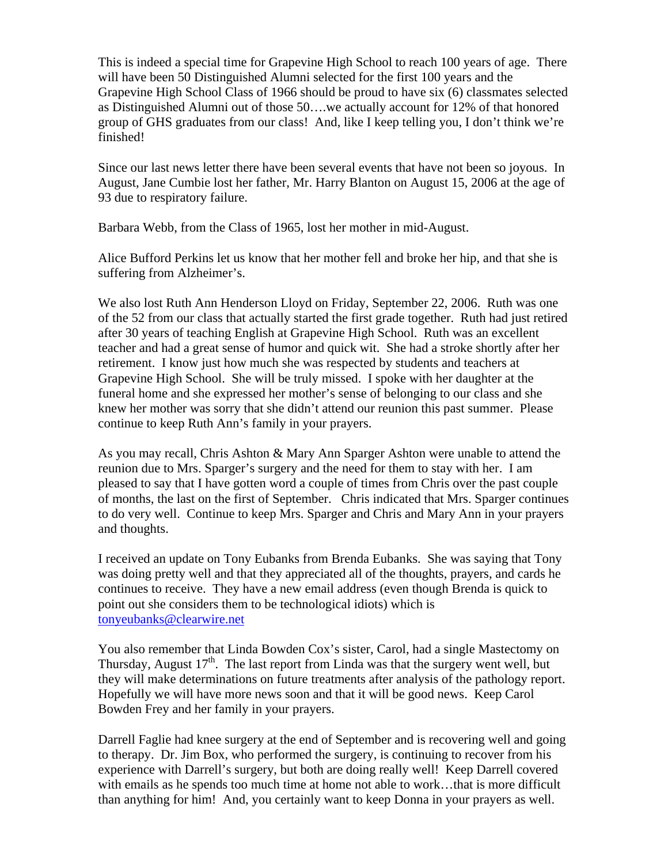This is indeed a special time for Grapevine High School to reach 100 years of age. There will have been 50 Distinguished Alumni selected for the first 100 years and the Grapevine High School Class of 1966 should be proud to have six (6) classmates selected as Distinguished Alumni out of those 50….we actually account for 12% of that honored group of GHS graduates from our class! And, like I keep telling you, I don't think we're finished!

Since our last news letter there have been several events that have not been so joyous. In August, Jane Cumbie lost her father, Mr. Harry Blanton on August 15, 2006 at the age of 93 due to respiratory failure.

Barbara Webb, from the Class of 1965, lost her mother in mid-August.

Alice Bufford Perkins let us know that her mother fell and broke her hip, and that she is suffering from Alzheimer's.

We also lost Ruth Ann Henderson Lloyd on Friday, September 22, 2006. Ruth was one of the 52 from our class that actually started the first grade together. Ruth had just retired after 30 years of teaching English at Grapevine High School. Ruth was an excellent teacher and had a great sense of humor and quick wit. She had a stroke shortly after her retirement. I know just how much she was respected by students and teachers at Grapevine High School. She will be truly missed. I spoke with her daughter at the funeral home and she expressed her mother's sense of belonging to our class and she knew her mother was sorry that she didn't attend our reunion this past summer. Please continue to keep Ruth Ann's family in your prayers.

As you may recall, Chris Ashton & Mary Ann Sparger Ashton were unable to attend the reunion due to Mrs. Sparger's surgery and the need for them to stay with her. I am pleased to say that I have gotten word a couple of times from Chris over the past couple of months, the last on the first of September. Chris indicated that Mrs. Sparger continues to do very well. Continue to keep Mrs. Sparger and Chris and Mary Ann in your prayers and thoughts.

I received an update on Tony Eubanks from Brenda Eubanks. She was saying that Tony was doing pretty well and that they appreciated all of the thoughts, prayers, and cards he continues to receive. They have a new email address (even though Brenda is quick to point out she considers them to be technological idiots) which is [tonyeubanks@clearwire.net](mailto:tonyeubanks@clearwire.net)

You also remember that Linda Bowden Cox's sister, Carol, had a single Mastectomy on Thursday, August  $17<sup>th</sup>$ . The last report from Linda was that the surgery went well, but they will make determinations on future treatments after analysis of the pathology report. Hopefully we will have more news soon and that it will be good news. Keep Carol Bowden Frey and her family in your prayers.

Darrell Faglie had knee surgery at the end of September and is recovering well and going to therapy. Dr. Jim Box, who performed the surgery, is continuing to recover from his experience with Darrell's surgery, but both are doing really well! Keep Darrell covered with emails as he spends too much time at home not able to work…that is more difficult than anything for him! And, you certainly want to keep Donna in your prayers as well.